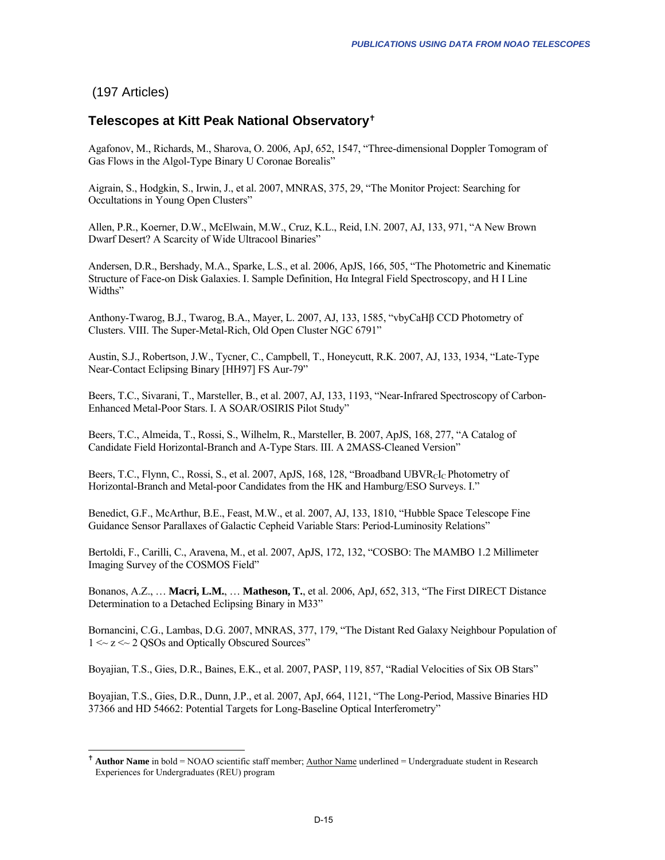## <span id="page-0-0"></span>(197 Articles)

1

## **Telescopes at Kitt Peak National Observatory**[g](#page-0-0)

Agafonov, M., Richards, M., Sharova, O. 2006, ApJ, 652, 1547, "Three-dimensional Doppler Tomogram of Gas Flows in the Algol-Type Binary U Coronae Borealis"

Aigrain, S., Hodgkin, S., Irwin, J., et al. 2007, MNRAS, 375, 29, "The Monitor Project: Searching for Occultations in Young Open Clusters"

Allen, P.R., Koerner, D.W., McElwain, M.W., Cruz, K.L., Reid, I.N. 2007, AJ, 133, 971, "A New Brown Dwarf Desert? A Scarcity of Wide Ultracool Binaries"

Andersen, D.R., Bershady, M.A., Sparke, L.S., et al. 2006, ApJS, 166, 505, "The Photometric and Kinematic Structure of Face-on Disk Galaxies. I. Sample Definition, Hα Integral Field Spectroscopy, and H I Line Widths"

Anthony-Twarog, B.J., Twarog, B.A., Mayer, L. 2007, AJ, 133, 1585, "vbyCaHβ CCD Photometry of Clusters. VIII. The Super-Metal-Rich, Old Open Cluster NGC 6791"

Austin, S.J., Robertson, J.W., Tycner, C., Campbell, T., Honeycutt, R.K. 2007, AJ, 133, 1934, "Late-Type Near-Contact Eclipsing Binary [HH97] FS Aur-79"

Beers, T.C., Sivarani, T., Marsteller, B., et al. 2007, AJ, 133, 1193, "Near-Infrared Spectroscopy of Carbon-Enhanced Metal-Poor Stars. I. A SOAR/OSIRIS Pilot Study"

Beers, T.C., Almeida, T., Rossi, S., Wilhelm, R., Marsteller, B. 2007, ApJS, 168, 277, "A Catalog of Candidate Field Horizontal-Branch and A-Type Stars. III. A 2MASS-Cleaned Version"

Beers, T.C., Flynn, C., Rossi, S., et al. 2007, ApJS, 168, 128, "Broadband UBVR<sub>C</sub>I<sub>C</sub> Photometry of Horizontal-Branch and Metal-poor Candidates from the HK and Hamburg/ESO Surveys. I."

Benedict, G.F., McArthur, B.E., Feast, M.W., et al. 2007, AJ, 133, 1810, "Hubble Space Telescope Fine Guidance Sensor Parallaxes of Galactic Cepheid Variable Stars: Period-Luminosity Relations"

Bertoldi, F., Carilli, C., Aravena, M., et al. 2007, ApJS, 172, 132, "COSBO: The MAMBO 1.2 Millimeter Imaging Survey of the COSMOS Field"

Bonanos, A.Z., … **Macri, L.M.**, … **Matheson, T.**, et al. 2006, ApJ, 652, 313, "The First DIRECT Distance Determination to a Detached Eclipsing Binary in M33"

Bornancini, C.G., Lambas, D.G. 2007, MNRAS, 377, 179, "The Distant Red Galaxy Neighbour Population of 1 <~ z <~ 2 QSOs and Optically Obscured Sources"

Boyajian, T.S., Gies, D.R., Baines, E.K., et al. 2007, PASP, 119, 857, "Radial Velocities of Six OB Stars"

Boyajian, T.S., Gies, D.R., Dunn, J.P., et al. 2007, ApJ, 664, 1121, "The Long-Period, Massive Binaries HD 37366 and HD 54662: Potential Targets for Long-Baseline Optical Interferometry"

<sup>&</sup>lt;sup>†</sup> Author Name in bold = NOAO scientific staff member; Author Name underlined = Undergraduate student in Research Experiences for Undergraduates (REU) program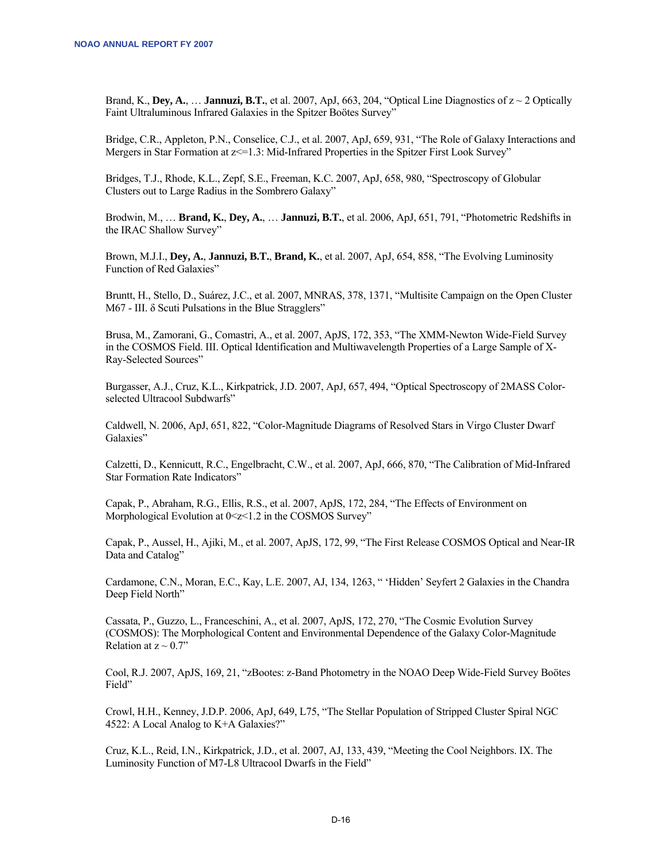Brand, K., **Dey, A., ... Jannuzi, B.T.**, et al. 2007, ApJ, 663, 204, "Optical Line Diagnostics of  $z \sim 2$  Optically Faint Ultraluminous Infrared Galaxies in the Spitzer Boötes Survey"

Bridge, C.R., Appleton, P.N., Conselice, C.J., et al. 2007, ApJ, 659, 931, "The Role of Galaxy Interactions and Mergers in Star Formation at  $z \le 1.3$ : Mid-Infrared Properties in the Spitzer First Look Survey"

Bridges, T.J., Rhode, K.L., Zepf, S.E., Freeman, K.C. 2007, ApJ, 658, 980, "Spectroscopy of Globular Clusters out to Large Radius in the Sombrero Galaxy"

Brodwin, M., … **Brand, K.**, **Dey, A.**, … **Jannuzi, B.T.**, et al. 2006, ApJ, 651, 791, "Photometric Redshifts in the IRAC Shallow Survey"

Brown, M.J.I., **Dey, A.**, **Jannuzi, B.T.**, **Brand, K.**, et al. 2007, ApJ, 654, 858, "The Evolving Luminosity Function of Red Galaxies"

Bruntt, H., Stello, D., Suárez, J.C., et al. 2007, MNRAS, 378, 1371, "Multisite Campaign on the Open Cluster M67 - III. δ Scuti Pulsations in the Blue Stragglers"

Brusa, M., Zamorani, G., Comastri, A., et al. 2007, ApJS, 172, 353, "The XMM-Newton Wide-Field Survey in the COSMOS Field. III. Optical Identification and Multiwavelength Properties of a Large Sample of X-Ray-Selected Sources"

Burgasser, A.J., Cruz, K.L., Kirkpatrick, J.D. 2007, ApJ, 657, 494, "Optical Spectroscopy of 2MASS Colorselected Ultracool Subdwarfs"

Caldwell, N. 2006, ApJ, 651, 822, "Color-Magnitude Diagrams of Resolved Stars in Virgo Cluster Dwarf Galaxies"

Calzetti, D., Kennicutt, R.C., Engelbracht, C.W., et al. 2007, ApJ, 666, 870, "The Calibration of Mid-Infrared Star Formation Rate Indicators"

Capak, P., Abraham, R.G., Ellis, R.S., et al. 2007, ApJS, 172, 284, "The Effects of Environment on Morphological Evolution at  $0 \le z \le 1.2$  in the COSMOS Survey"

Capak, P., Aussel, H., Ajiki, M., et al. 2007, ApJS, 172, 99, "The First Release COSMOS Optical and Near-IR Data and Catalog"

Cardamone, C.N., Moran, E.C., Kay, L.E. 2007, AJ, 134, 1263, " 'Hidden' Seyfert 2 Galaxies in the Chandra Deep Field North"

Cassata, P., Guzzo, L., Franceschini, A., et al. 2007, ApJS, 172, 270, "The Cosmic Evolution Survey (COSMOS): The Morphological Content and Environmental Dependence of the Galaxy Color-Magnitude Relation at  $z \sim 0.7$ "

Cool, R.J. 2007, ApJS, 169, 21, "zBootes: z-Band Photometry in the NOAO Deep Wide-Field Survey Boötes Field"

Crowl, H.H., Kenney, J.D.P. 2006, ApJ, 649, L75, "The Stellar Population of Stripped Cluster Spiral NGC 4522: A Local Analog to K+A Galaxies?"

Cruz, K.L., Reid, I.N., Kirkpatrick, J.D., et al. 2007, AJ, 133, 439, "Meeting the Cool Neighbors. IX. The Luminosity Function of M7-L8 Ultracool Dwarfs in the Field"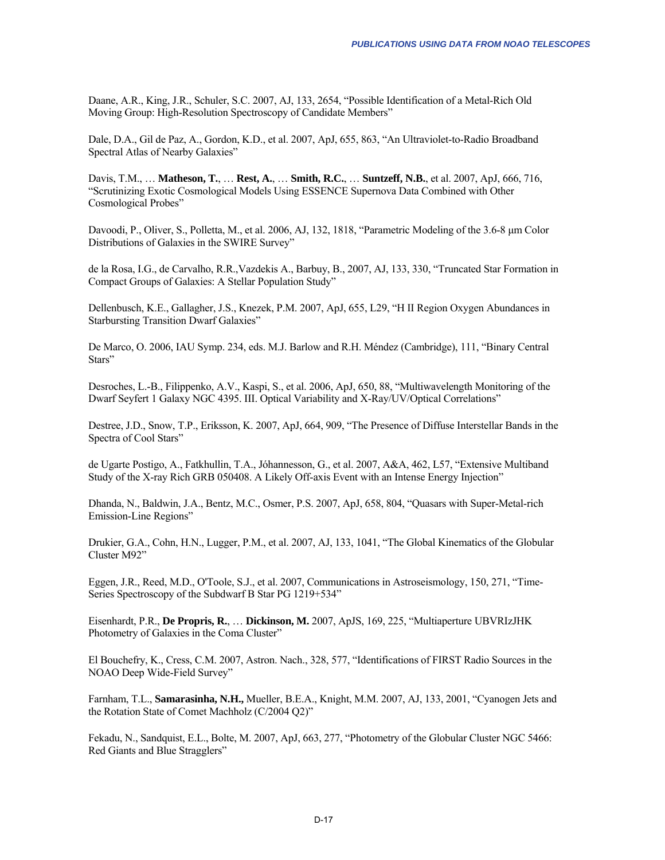Daane, A.R., King, J.R., Schuler, S.C. 2007, AJ, 133, 2654, "Possible Identification of a Metal-Rich Old Moving Group: High-Resolution Spectroscopy of Candidate Members"

Dale, D.A., Gil de Paz, A., Gordon, K.D., et al. 2007, ApJ, 655, 863, "An Ultraviolet-to-Radio Broadband Spectral Atlas of Nearby Galaxies"

Davis, T.M., … **Matheson, T.**, … **Rest, A.**, … **Smith, R.C.**, … **Suntzeff, N.B.**, et al. 2007, ApJ, 666, 716, "Scrutinizing Exotic Cosmological Models Using ESSENCE Supernova Data Combined with Other Cosmological Probes"

Davoodi, P., Oliver, S., Polletta, M., et al. 2006, AJ, 132, 1818, "Parametric Modeling of the 3.6-8 μm Color Distributions of Galaxies in the SWIRE Survey"

de la Rosa, I.G., de Carvalho, R.R.,Vazdekis A., Barbuy, B., 2007, AJ, 133, 330, "Truncated Star Formation in Compact Groups of Galaxies: A Stellar Population Study"

Dellenbusch, K.E., Gallagher, J.S., Knezek, P.M. 2007, ApJ, 655, L29, "H II Region Oxygen Abundances in Starbursting Transition Dwarf Galaxies"

De Marco, O. 2006, IAU Symp. 234, eds. M.J. Barlow and R.H. Méndez (Cambridge), 111, "Binary Central Stars"

Desroches, L.-B., Filippenko, A.V., Kaspi, S., et al. 2006, ApJ, 650, 88, "Multiwavelength Monitoring of the Dwarf Seyfert 1 Galaxy NGC 4395. III. Optical Variability and X-Ray/UV/Optical Correlations"

Destree, J.D., Snow, T.P., Eriksson, K. 2007, ApJ, 664, 909, "The Presence of Diffuse Interstellar Bands in the Spectra of Cool Stars"

de Ugarte Postigo, A., Fatkhullin, T.A., Jóhannesson, G., et al. 2007, A&A, 462, L57, "Extensive Multiband Study of the X-ray Rich GRB 050408. A Likely Off-axis Event with an Intense Energy Injection"

Dhanda, N., Baldwin, J.A., Bentz, M.C., Osmer, P.S. 2007, ApJ, 658, 804, "Quasars with Super-Metal-rich Emission-Line Regions"

Drukier, G.A., Cohn, H.N., Lugger, P.M., et al. 2007, AJ, 133, 1041, "The Global Kinematics of the Globular Cluster M92"

Eggen, J.R., Reed, M.D., O'Toole, S.J., et al. 2007, Communications in Astroseismology, 150, 271, "Time-Series Spectroscopy of the Subdwarf B Star PG 1219+534"

Eisenhardt, P.R., **De Propris, R.**, … **Dickinson, M.** 2007, ApJS, 169, 225, "Multiaperture UBVRIzJHK Photometry of Galaxies in the Coma Cluster"

El Bouchefry, K., Cress, C.M. 2007, Astron. Nach., 328, 577, "Identifications of FIRST Radio Sources in the NOAO Deep Wide-Field Survey"

Farnham, T.L., **Samarasinha, N.H.,** Mueller, B.E.A., Knight, M.M. 2007, AJ, 133, 2001, "Cyanogen Jets and the Rotation State of Comet Machholz (C/2004 Q2)"

Fekadu, N., Sandquist, E.L., Bolte, M. 2007, ApJ, 663, 277, "Photometry of the Globular Cluster NGC 5466: Red Giants and Blue Stragglers"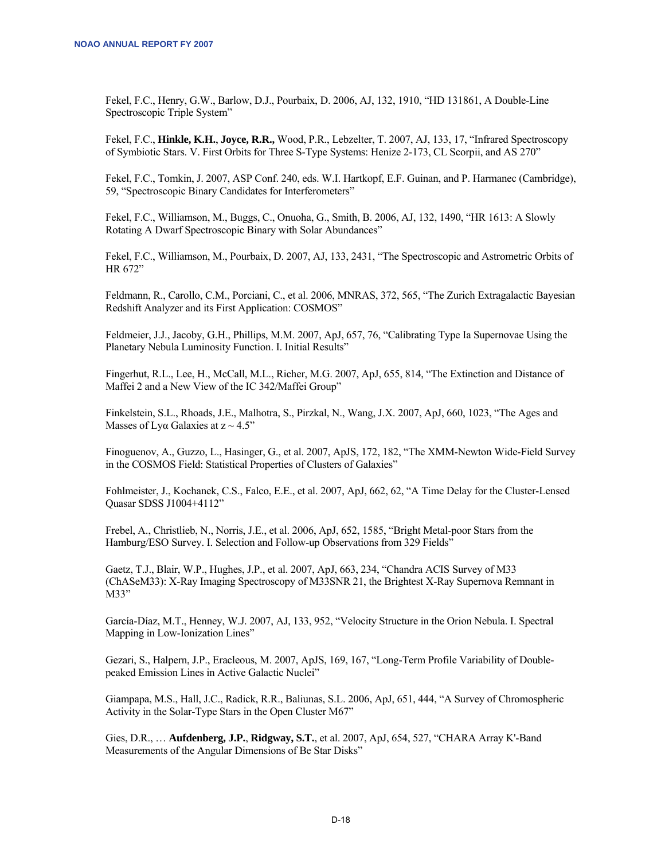Fekel, F.C., Henry, G.W., Barlow, D.J., Pourbaix, D. 2006, AJ, 132, 1910, "HD 131861, A Double-Line Spectroscopic Triple System"

Fekel, F.C., **Hinkle, K.H.**, **Joyce, R.R.,** Wood, P.R., Lebzelter, T. 2007, AJ, 133, 17, "Infrared Spectroscopy of Symbiotic Stars. V. First Orbits for Three S-Type Systems: Henize 2-173, CL Scorpii, and AS 270"

Fekel, F.C., Tomkin, J. 2007, ASP Conf. 240, eds. W.I. Hartkopf, E.F. Guinan, and P. Harmanec (Cambridge), 59, "Spectroscopic Binary Candidates for Interferometers"

Fekel, F.C., Williamson, M., Buggs, C., Onuoha, G., Smith, B. 2006, AJ, 132, 1490, "HR 1613: A Slowly Rotating A Dwarf Spectroscopic Binary with Solar Abundances"

Fekel, F.C., Williamson, M., Pourbaix, D. 2007, AJ, 133, 2431, "The Spectroscopic and Astrometric Orbits of HR 672"

Feldmann, R., Carollo, C.M., Porciani, C., et al. 2006, MNRAS, 372, 565, "The Zurich Extragalactic Bayesian Redshift Analyzer and its First Application: COSMOS"

Feldmeier, J.J., Jacoby, G.H., Phillips, M.M. 2007, ApJ, 657, 76, "Calibrating Type Ia Supernovae Using the Planetary Nebula Luminosity Function. I. Initial Results"

Fingerhut, R.L., Lee, H., McCall, M.L., Richer, M.G. 2007, ApJ, 655, 814, "The Extinction and Distance of Maffei 2 and a New View of the IC 342/Maffei Group"

Finkelstein, S.L., Rhoads, J.E., Malhotra, S., Pirzkal, N., Wang, J.X. 2007, ApJ, 660, 1023, "The Ages and Masses of Lya Galaxies at  $z \sim 4.5$ "

Finoguenov, A., Guzzo, L., Hasinger, G., et al. 2007, ApJS, 172, 182, "The XMM-Newton Wide-Field Survey in the COSMOS Field: Statistical Properties of Clusters of Galaxies"

Fohlmeister, J., Kochanek, C.S., Falco, E.E., et al. 2007, ApJ, 662, 62, "A Time Delay for the Cluster-Lensed Quasar SDSS J1004+4112"

Frebel, A., Christlieb, N., Norris, J.E., et al. 2006, ApJ, 652, 1585, "Bright Metal-poor Stars from the Hamburg/ESO Survey. I. Selection and Follow-up Observations from 329 Fields"

Gaetz, T.J., Blair, W.P., Hughes, J.P., et al. 2007, ApJ, 663, 234, "Chandra ACIS Survey of M33 (ChASeM33): X-Ray Imaging Spectroscopy of M33SNR 21, the Brightest X-Ray Supernova Remnant in M33"

García-Díaz, M.T., Henney, W.J. 2007, AJ, 133, 952, "Velocity Structure in the Orion Nebula. I. Spectral Mapping in Low-Ionization Lines"

Gezari, S., Halpern, J.P., Eracleous, M. 2007, ApJS, 169, 167, "Long-Term Profile Variability of Doublepeaked Emission Lines in Active Galactic Nuclei"

Giampapa, M.S., Hall, J.C., Radick, R.R., Baliunas, S.L. 2006, ApJ, 651, 444, "A Survey of Chromospheric Activity in the Solar-Type Stars in the Open Cluster M67"

Gies, D.R., … **Aufdenberg, J.P.**, **Ridgway, S.T.**, et al. 2007, ApJ, 654, 527, "CHARA Array K'-Band Measurements of the Angular Dimensions of Be Star Disks"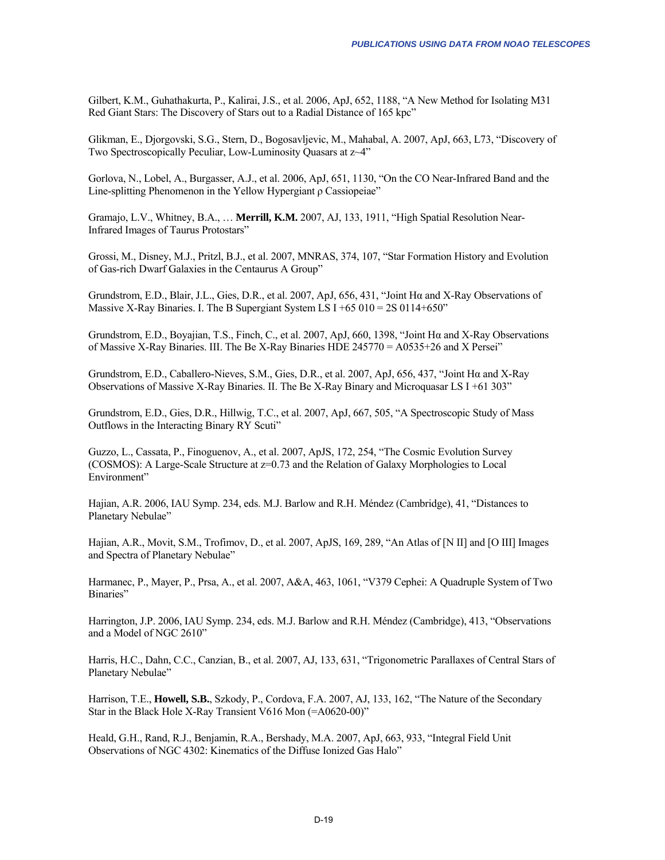Gilbert, K.M., Guhathakurta, P., Kalirai, J.S., et al. 2006, ApJ, 652, 1188, "A New Method for Isolating M31 Red Giant Stars: The Discovery of Stars out to a Radial Distance of 165 kpc"

Glikman, E., Djorgovski, S.G., Stern, D., Bogosavljevic, M., Mahabal, A. 2007, ApJ, 663, L73, "Discovery of Two Spectroscopically Peculiar, Low-Luminosity Quasars at z~4"

Gorlova, N., Lobel, A., Burgasser, A.J., et al. 2006, ApJ, 651, 1130, "On the CO Near-Infrared Band and the Line-splitting Phenomenon in the Yellow Hypergiant ρ Cassiopeiae"

Gramajo, L.V., Whitney, B.A., … **Merrill, K.M.** 2007, AJ, 133, 1911, "High Spatial Resolution Near-Infrared Images of Taurus Protostars"

Grossi, M., Disney, M.J., Pritzl, B.J., et al. 2007, MNRAS, 374, 107, "Star Formation History and Evolution of Gas-rich Dwarf Galaxies in the Centaurus A Group"

Grundstrom, E.D., Blair, J.L., Gies, D.R., et al. 2007, ApJ, 656, 431, "Joint Hα and X-Ray Observations of Massive X-Ray Binaries. I. The B Supergiant System LS  $I +65010 = 2S0114 + 650$ "

Grundstrom, E.D., Boyajian, T.S., Finch, C., et al. 2007, ApJ, 660, 1398, "Joint Hα and X-Ray Observations of Massive X-Ray Binaries. III. The Be X-Ray Binaries HDE 245770 = A0535+26 and X Persei"

Grundstrom, E.D., Caballero-Nieves, S.M., Gies, D.R., et al. 2007, ApJ, 656, 437, "Joint Hα and X-Ray Observations of Massive X-Ray Binaries. II. The Be X-Ray Binary and Microquasar LS I +61 303"

Grundstrom, E.D., Gies, D.R., Hillwig, T.C., et al. 2007, ApJ, 667, 505, "A Spectroscopic Study of Mass Outflows in the Interacting Binary RY Scuti"

Guzzo, L., Cassata, P., Finoguenov, A., et al. 2007, ApJS, 172, 254, "The Cosmic Evolution Survey (COSMOS): A Large-Scale Structure at z=0.73 and the Relation of Galaxy Morphologies to Local Environment"

Hajian, A.R. 2006, IAU Symp. 234, eds. M.J. Barlow and R.H. Méndez (Cambridge), 41, "Distances to Planetary Nebulae"

Hajian, A.R., Movit, S.M., Trofimov, D., et al. 2007, ApJS, 169, 289, "An Atlas of [N II] and [O III] Images and Spectra of Planetary Nebulae"

Harmanec, P., Mayer, P., Prsa, A., et al. 2007, A&A, 463, 1061, "V379 Cephei: A Quadruple System of Two Binaries"

Harrington, J.P. 2006, IAU Symp. 234, eds. M.J. Barlow and R.H. Méndez (Cambridge), 413, "Observations and a Model of NGC 2610"

Harris, H.C., Dahn, C.C., Canzian, B., et al. 2007, AJ, 133, 631, "Trigonometric Parallaxes of Central Stars of Planetary Nebulae"

Harrison, T.E., **Howell, S.B.**, Szkody, P., Cordova, F.A. 2007, AJ, 133, 162, "The Nature of the Secondary Star in the Black Hole X-Ray Transient V616 Mon (=A0620-00)"

Heald, G.H., Rand, R.J., Benjamin, R.A., Bershady, M.A. 2007, ApJ, 663, 933, "Integral Field Unit Observations of NGC 4302: Kinematics of the Diffuse Ionized Gas Halo"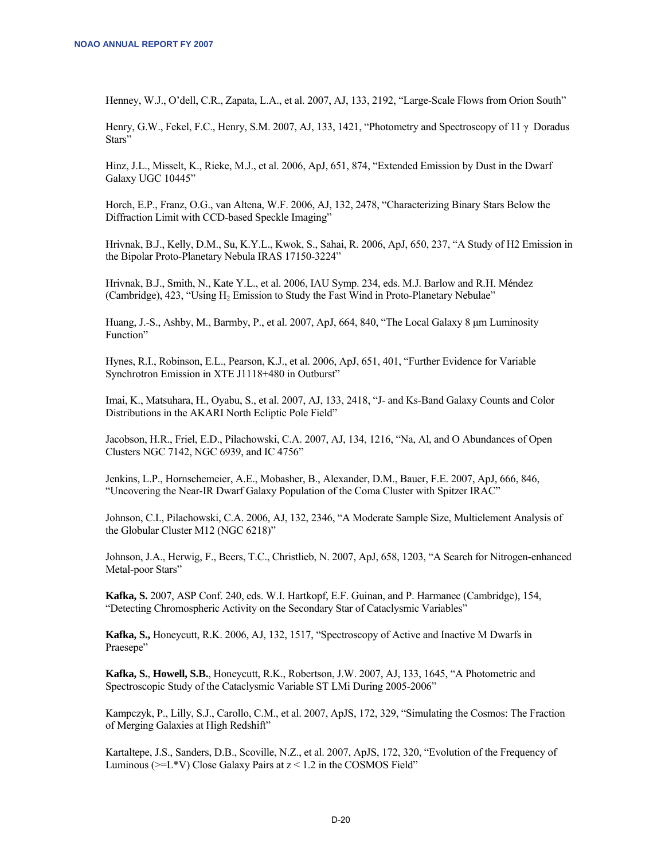Henney, W.J., O'dell, C.R., Zapata, L.A., et al. 2007, AJ, 133, 2192, "Large-Scale Flows from Orion South"

Henry, G.W., Fekel, F.C., Henry, S.M. 2007, AJ, 133, 1421, "Photometry and Spectroscopy of 11 γ Doradus Stars"

Hinz, J.L., Misselt, K., Rieke, M.J., et al. 2006, ApJ, 651, 874, "Extended Emission by Dust in the Dwarf Galaxy UGC 10445"

Horch, E.P., Franz, O.G., van Altena, W.F. 2006, AJ, 132, 2478, "Characterizing Binary Stars Below the Diffraction Limit with CCD-based Speckle Imaging"

Hrivnak, B.J., Kelly, D.M., Su, K.Y.L., Kwok, S., Sahai, R. 2006, ApJ, 650, 237, "A Study of H2 Emission in the Bipolar Proto-Planetary Nebula IRAS 17150-3224"

Hrivnak, B.J., Smith, N., Kate Y.L., et al. 2006, IAU Symp. 234, eds. M.J. Barlow and R.H. Méndez (Cambridge), 423, "Using H<sub>2</sub> Emission to Study the Fast Wind in Proto-Planetary Nebulae"

Huang, J.-S., Ashby, M., Barmby, P., et al. 2007, ApJ, 664, 840, "The Local Galaxy 8 μm Luminosity Function"

Hynes, R.I., Robinson, E.L., Pearson, K.J., et al. 2006, ApJ, 651, 401, "Further Evidence for Variable Synchrotron Emission in XTE J1118+480 in Outburst"

Imai, K., Matsuhara, H., Oyabu, S., et al. 2007, AJ, 133, 2418, "J- and Ks-Band Galaxy Counts and Color Distributions in the AKARI North Ecliptic Pole Field"

Jacobson, H.R., Friel, E.D., Pilachowski, C.A. 2007, AJ, 134, 1216, "Na, Al, and O Abundances of Open Clusters NGC 7142, NGC 6939, and IC 4756"

Jenkins, L.P., Hornschemeier, A.E., Mobasher, B., Alexander, D.M., Bauer, F.E. 2007, ApJ, 666, 846, "Uncovering the Near-IR Dwarf Galaxy Population of the Coma Cluster with Spitzer IRAC"

Johnson, C.I., Pilachowski, C.A. 2006, AJ, 132, 2346, "A Moderate Sample Size, Multielement Analysis of the Globular Cluster M12 (NGC 6218)"

Johnson, J.A., Herwig, F., Beers, T.C., Christlieb, N. 2007, ApJ, 658, 1203, "A Search for Nitrogen-enhanced Metal-poor Stars"

**Kafka, S.** 2007, ASP Conf. 240, eds. W.I. Hartkopf, E.F. Guinan, and P. Harmanec (Cambridge), 154, "Detecting Chromospheric Activity on the Secondary Star of Cataclysmic Variables"

**Kafka, S.,** Honeycutt, R.K. 2006, AJ, 132, 1517, "Spectroscopy of Active and Inactive M Dwarfs in Praesepe"

**Kafka, S.**, **Howell, S.B.**, Honeycutt, R.K., Robertson, J.W. 2007, AJ, 133, 1645, "A Photometric and Spectroscopic Study of the Cataclysmic Variable ST LMi During 2005-2006"

Kampczyk, P., Lilly, S.J., Carollo, C.M., et al. 2007, ApJS, 172, 329, "Simulating the Cosmos: The Fraction of Merging Galaxies at High Redshift"

Kartaltepe, J.S., Sanders, D.B., Scoville, N.Z., et al. 2007, ApJS, 172, 320, "Evolution of the Frequency of Luminous ( $>=$ L\*V) Close Galaxy Pairs at  $z$  < 1.2 in the COSMOS Field"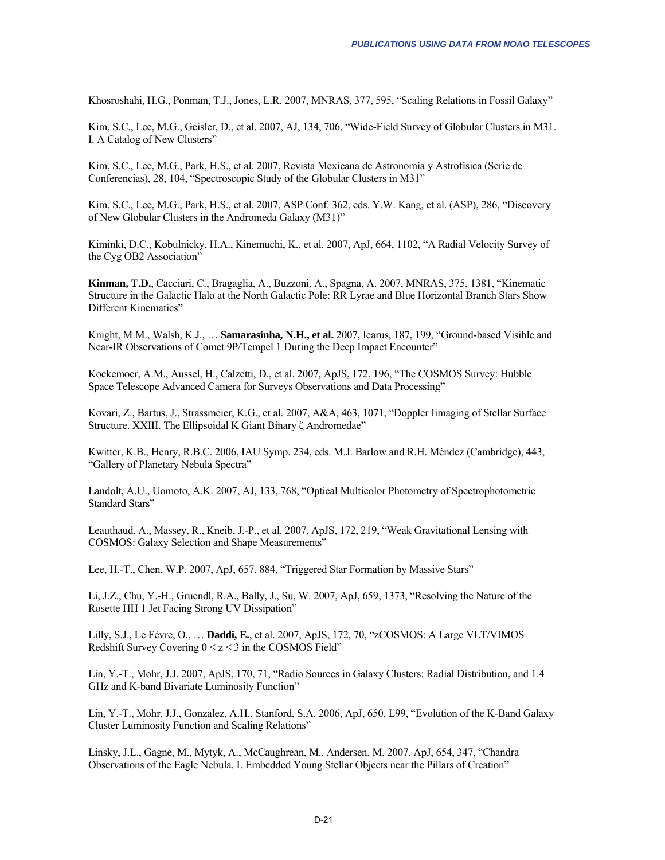Khosroshahi, H.G., Ponman, T.J., Jones, L.R. 2007, MNRAS, 377, 595, "Scaling Relations in Fossil Galaxy"

Kim, S.C., Lee, M.G., Geisler, D., et al. 2007, AJ, 134, 706, "Wide-Field Survey of Globular Clusters in M31. I. A Catalog of New Clusters"

Kim, S.C., Lee, M.G., Park, H.S., et al. 2007, Revista Mexicana de Astronomía y Astrofísica (Serie de Conferencias), 28, 104, "Spectroscopic Study of the Globular Clusters in M31"

Kim, S.C., Lee, M.G., Park, H.S., et al. 2007, ASP Conf. 362, eds. Y.W. Kang, et al. (ASP), 286, "Discovery of New Globular Clusters in the Andromeda Galaxy (M31)"

Kiminki, D.C., Kobulnicky, H.A., Kinemuchi, K., et al. 2007, ApJ, 664, 1102, "A Radial Velocity Survey of the Cyg OB2 Association"

**Kinman, T.D.**, Cacciari, C., Bragaglia, A., Buzzoni, A., Spagna, A. 2007, MNRAS, 375, 1381, "Kinematic Structure in the Galactic Halo at the North Galactic Pole: RR Lyrae and Blue Horizontal Branch Stars Show Different Kinematics"

Knight, M.M., Walsh, K.J., … **Samarasinha, N.H., et al.** 2007, Icarus, 187, 199, "Ground-based Visible and Near-IR Observations of Comet 9P/Tempel 1 During the Deep Impact Encounter"

Koekemoer, A.M., Aussel, H., Calzetti, D., et al. 2007, ApJS, 172, 196, "The COSMOS Survey: Hubble Space Telescope Advanced Camera for Surveys Observations and Data Processing"

Kovari, Z., Bartus, J., Strassmeier, K.G., et al. 2007, A&A, 463, 1071, "Doppler Iimaging of Stellar Surface Structure. XXIII. The Ellipsoidal K Giant Binary ζ Andromedae"

Kwitter, K.B., Henry, R.B.C. 2006, IAU Symp. 234, eds. M.J. Barlow and R.H. Méndez (Cambridge), 443, "Gallery of Planetary Nebula Spectra"

Landolt, A.U., Uomoto, A.K. 2007, AJ, 133, 768, "Optical Multicolor Photometry of Spectrophotometric Standard Stars"

Leauthaud, A., Massey, R., Kneib, J.-P., et al. 2007, ApJS, 172, 219, "Weak Gravitational Lensing with COSMOS: Galaxy Selection and Shape Measurements"

Lee, H.-T., Chen, W.P. 2007, ApJ, 657, 884, "Triggered Star Formation by Massive Stars"

Li, J.Z., Chu, Y.-H., Gruendl, R.A., Bally, J., Su, W. 2007, ApJ, 659, 1373, "Resolving the Nature of the Rosette HH 1 Jet Facing Strong UV Dissipation"

Lilly, S.J., Le Fèvre, O., … **Daddi, E.**, et al. 2007, ApJS, 172, 70, "zCOSMOS: A Large VLT/VIMOS Redshift Survey Covering  $0 \le z \le 3$  in the COSMOS Field"

Lin, Y.-T., Mohr, J.J. 2007, ApJS, 170, 71, "Radio Sources in Galaxy Clusters: Radial Distribution, and 1.4 GHz and K-band Bivariate Luminosity Function"

Lin, Y.-T., Mohr, J.J., Gonzalez, A.H., Stanford, S.A. 2006, ApJ, 650, L99, "Evolution of the K-Band Galaxy Cluster Luminosity Function and Scaling Relations"

Linsky, J.L., Gagne, M., Mytyk, A., McCaughrean, M., Andersen, M. 2007, ApJ, 654, 347, "Chandra Observations of the Eagle Nebula. I. Embedded Young Stellar Objects near the Pillars of Creation"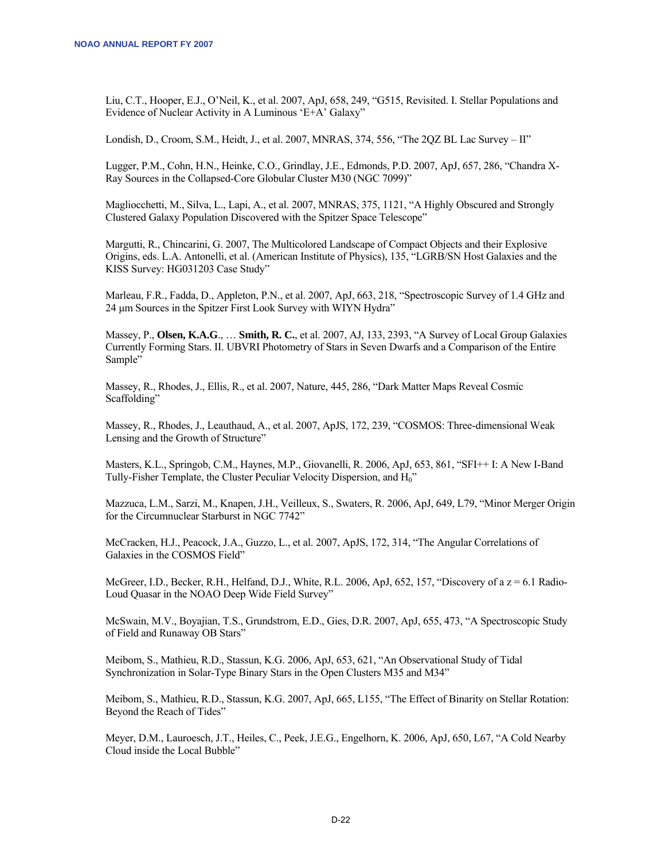Liu, C.T., Hooper, E.J., O'Neil, K., et al. 2007, ApJ, 658, 249, "G515, Revisited. I. Stellar Populations and Evidence of Nuclear Activity in A Luminous 'E+A' Galaxy"

Londish, D., Croom, S.M., Heidt, J., et al. 2007, MNRAS, 374, 556, "The 2QZ BL Lac Survey – II"

Lugger, P.M., Cohn, H.N., Heinke, C.O., Grindlay, J.E., Edmonds, P.D. 2007, ApJ, 657, 286, "Chandra X-Ray Sources in the Collapsed-Core Globular Cluster M30 (NGC 7099)"

Magliocchetti, M., Silva, L., Lapi, A., et al. 2007, MNRAS, 375, 1121, "A Highly Obscured and Strongly Clustered Galaxy Population Discovered with the Spitzer Space Telescope"

Margutti, R., Chincarini, G. 2007, The Multicolored Landscape of Compact Objects and their Explosive Origins, eds. L.A. Antonelli, et al. (American Institute of Physics), 135, "LGRB/SN Host Galaxies and the KISS Survey: HG031203 Case Study"

Marleau, F.R., Fadda, D., Appleton, P.N., et al. 2007, ApJ, 663, 218, "Spectroscopic Survey of 1.4 GHz and 24 μm Sources in the Spitzer First Look Survey with WIYN Hydra"

Massey, P., **Olsen, K.A.G**., … **Smith, R. C.**, et al. 2007, AJ, 133, 2393, "A Survey of Local Group Galaxies Currently Forming Stars. II. UBVRI Photometry of Stars in Seven Dwarfs and a Comparison of the Entire Sample"

Massey, R., Rhodes, J., Ellis, R., et al. 2007, Nature, 445, 286, "Dark Matter Maps Reveal Cosmic Scaffolding"

Massey, R., Rhodes, J., Leauthaud, A., et al. 2007, ApJS, 172, 239, "COSMOS: Three-dimensional Weak Lensing and the Growth of Structure"

Masters, K.L., Springob, C.M., Haynes, M.P., Giovanelli, R. 2006, ApJ, 653, 861, "SFI++ I: A New I-Band Tully-Fisher Template, the Cluster Peculiar Velocity Dispersion, and H<sub>0</sub>"

Mazzuca, L.M., Sarzi, M., Knapen, J.H., Veilleux, S., Swaters, R. 2006, ApJ, 649, L79, "Minor Merger Origin for the Circumnuclear Starburst in NGC 7742"

McCracken, H.J., Peacock, J.A., Guzzo, L., et al. 2007, ApJS, 172, 314, "The Angular Correlations of Galaxies in the COSMOS Field"

McGreer, I.D., Becker, R.H., Helfand, D.J., White, R.L. 2006, ApJ, 652, 157, "Discovery of a z = 6.1 Radio-Loud Quasar in the NOAO Deep Wide Field Survey"

McSwain, M.V., Boyajian, T.S., Grundstrom, E.D., Gies, D.R. 2007, ApJ, 655, 473, "A Spectroscopic Study of Field and Runaway OB Stars"

Meibom, S., Mathieu, R.D., Stassun, K.G. 2006, ApJ, 653, 621, "An Observational Study of Tidal Synchronization in Solar-Type Binary Stars in the Open Clusters M35 and M34"

Meibom, S., Mathieu, R.D., Stassun, K.G. 2007, ApJ, 665, L155, "The Effect of Binarity on Stellar Rotation: Beyond the Reach of Tides"

Meyer, D.M., Lauroesch, J.T., Heiles, C., Peek, J.E.G., Engelhorn, K. 2006, ApJ, 650, L67, "A Cold Nearby Cloud inside the Local Bubble"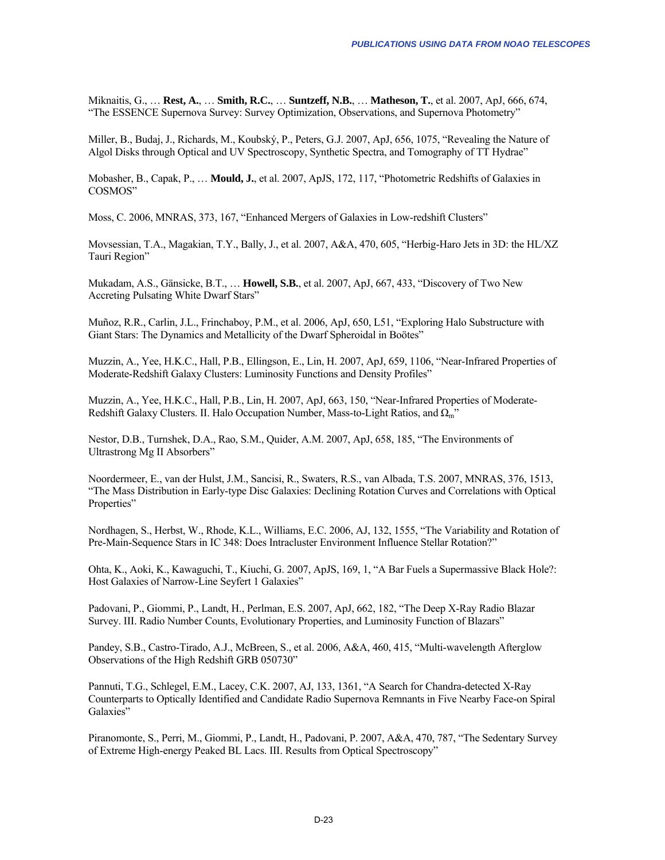Miknaitis, G., … **Rest, A.**, … **Smith, R.C.**, … **Suntzeff, N.B.**, … **Matheson, T.**, et al. 2007, ApJ, 666, 674, "The ESSENCE Supernova Survey: Survey Optimization, Observations, and Supernova Photometry"

Miller, B., Budaj, J., Richards, M., Koubský, P., Peters, G.J. 2007, ApJ, 656, 1075, "Revealing the Nature of Algol Disks through Optical and UV Spectroscopy, Synthetic Spectra, and Tomography of TT Hydrae"

Mobasher, B., Capak, P., … **Mould, J.**, et al. 2007, ApJS, 172, 117, "Photometric Redshifts of Galaxies in COSMOS"

Moss, C. 2006, MNRAS, 373, 167, "Enhanced Mergers of Galaxies in Low-redshift Clusters"

Movsessian, T.A., Magakian, T.Y., Bally, J., et al. 2007, A&A, 470, 605, "Herbig-Haro Jets in 3D: the HL/XZ Tauri Region"

Mukadam, A.S., Gänsicke, B.T., … **Howell, S.B.**, et al. 2007, ApJ, 667, 433, "Discovery of Two New Accreting Pulsating White Dwarf Stars"

Muñoz, R.R., Carlin, J.L., Frinchaboy, P.M., et al. 2006, ApJ, 650, L51, "Exploring Halo Substructure with Giant Stars: The Dynamics and Metallicity of the Dwarf Spheroidal in Boötes"

Muzzin, A., Yee, H.K.C., Hall, P.B., Ellingson, E., Lin, H. 2007, ApJ, 659, 1106, "Near-Infrared Properties of Moderate-Redshift Galaxy Clusters: Luminosity Functions and Density Profiles"

Muzzin, A., Yee, H.K.C., Hall, P.B., Lin, H. 2007, ApJ, 663, 150, "Near-Infrared Properties of Moderate-Redshift Galaxy Clusters. II. Halo Occupation Number, Mass-to-Light Ratios, and  $\Omega_m$ "

Nestor, D.B., Turnshek, D.A., Rao, S.M., Quider, A.M. 2007, ApJ, 658, 185, "The Environments of Ultrastrong Mg II Absorbers"

Noordermeer, E., van der Hulst, J.M., Sancisi, R., Swaters, R.S., van Albada, T.S. 2007, MNRAS, 376, 1513, "The Mass Distribution in Early-type Disc Galaxies: Declining Rotation Curves and Correlations with Optical Properties"

Nordhagen, S., Herbst, W., Rhode, K.L., Williams, E.C. 2006, AJ, 132, 1555, "The Variability and Rotation of Pre-Main-Sequence Stars in IC 348: Does Intracluster Environment Influence Stellar Rotation?"

Ohta, K., Aoki, K., Kawaguchi, T., Kiuchi, G. 2007, ApJS, 169, 1, "A Bar Fuels a Supermassive Black Hole?: Host Galaxies of Narrow-Line Seyfert 1 Galaxies"

Padovani, P., Giommi, P., Landt, H., Perlman, E.S. 2007, ApJ, 662, 182, "The Deep X-Ray Radio Blazar Survey. III. Radio Number Counts, Evolutionary Properties, and Luminosity Function of Blazars"

Pandey, S.B., Castro-Tirado, A.J., McBreen, S., et al. 2006, A&A, 460, 415, "Multi-wavelength Afterglow Observations of the High Redshift GRB 050730"

Pannuti, T.G., Schlegel, E.M., Lacey, C.K. 2007, AJ, 133, 1361, "A Search for Chandra-detected X-Ray Counterparts to Optically Identified and Candidate Radio Supernova Remnants in Five Nearby Face-on Spiral Galaxies"

Piranomonte, S., Perri, M., Giommi, P., Landt, H., Padovani, P. 2007, A&A, 470, 787, "The Sedentary Survey of Extreme High-energy Peaked BL Lacs. III. Results from Optical Spectroscopy"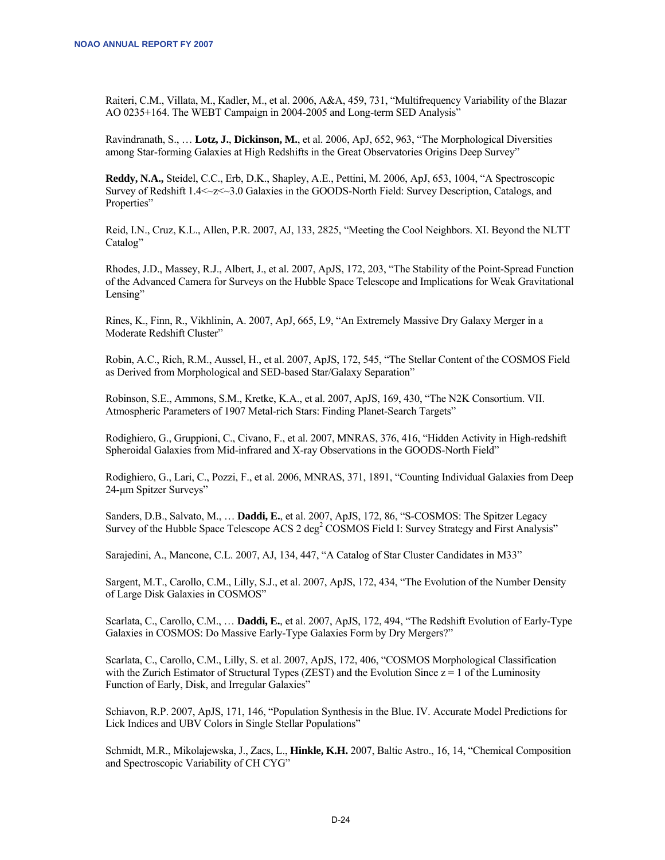Raiteri, C.M., Villata, M., Kadler, M., et al. 2006, A&A, 459, 731, "Multifrequency Variability of the Blazar AO 0235+164. The WEBT Campaign in 2004-2005 and Long-term SED Analysis"

Ravindranath, S., … **Lotz, J.**, **Dickinson, M.**, et al. 2006, ApJ, 652, 963, "The Morphological Diversities among Star-forming Galaxies at High Redshifts in the Great Observatories Origins Deep Survey"

**Reddy, N.A.,** Steidel, C.C., Erb, D.K., Shapley, A.E., Pettini, M. 2006, ApJ, 653, 1004, "A Spectroscopic Survey of Redshift 1.4<~z<~3.0 Galaxies in the GOODS-North Field: Survey Description, Catalogs, and Properties"

Reid, I.N., Cruz, K.L., Allen, P.R. 2007, AJ, 133, 2825, "Meeting the Cool Neighbors. XI. Beyond the NLTT Catalog"

Rhodes, J.D., Massey, R.J., Albert, J., et al. 2007, ApJS, 172, 203, "The Stability of the Point-Spread Function of the Advanced Camera for Surveys on the Hubble Space Telescope and Implications for Weak Gravitational Lensing"

Rines, K., Finn, R., Vikhlinin, A. 2007, ApJ, 665, L9, "An Extremely Massive Dry Galaxy Merger in a Moderate Redshift Cluster"

Robin, A.C., Rich, R.M., Aussel, H., et al. 2007, ApJS, 172, 545, "The Stellar Content of the COSMOS Field as Derived from Morphological and SED-based Star/Galaxy Separation"

Robinson, S.E., Ammons, S.M., Kretke, K.A., et al. 2007, ApJS, 169, 430, "The N2K Consortium. VII. Atmospheric Parameters of 1907 Metal-rich Stars: Finding Planet-Search Targets"

Rodighiero, G., Gruppioni, C., Civano, F., et al. 2007, MNRAS, 376, 416, "Hidden Activity in High-redshift Spheroidal Galaxies from Mid-infrared and X-ray Observations in the GOODS-North Field"

Rodighiero, G., Lari, C., Pozzi, F., et al. 2006, MNRAS, 371, 1891, "Counting Individual Galaxies from Deep 24-μm Spitzer Surveys"

Sanders, D.B., Salvato, M., … **Daddi, E.**, et al. 2007, ApJS, 172, 86, "S-COSMOS: The Spitzer Legacy Survey of the Hubble Space Telescope ACS 2 deg<sup>2</sup> COSMOS Field I: Survey Strategy and First Analysis"

Sarajedini, A., Mancone, C.L. 2007, AJ, 134, 447, "A Catalog of Star Cluster Candidates in M33"

Sargent, M.T., Carollo, C.M., Lilly, S.J., et al. 2007, ApJS, 172, 434, "The Evolution of the Number Density of Large Disk Galaxies in COSMOS"

Scarlata, C., Carollo, C.M., … **Daddi, E.**, et al. 2007, ApJS, 172, 494, "The Redshift Evolution of Early-Type Galaxies in COSMOS: Do Massive Early-Type Galaxies Form by Dry Mergers?"

Scarlata, C., Carollo, C.M., Lilly, S. et al. 2007, ApJS, 172, 406, "COSMOS Morphological Classification with the Zurich Estimator of Structural Types (ZEST) and the Evolution Since  $z = 1$  of the Luminosity Function of Early, Disk, and Irregular Galaxies"

Schiavon, R.P. 2007, ApJS, 171, 146, "Population Synthesis in the Blue. IV. Accurate Model Predictions for Lick Indices and UBV Colors in Single Stellar Populations"

Schmidt, M.R., Mikolajewska, J., Zacs, L., **Hinkle, K.H.** 2007, Baltic Astro., 16, 14, "Chemical Composition and Spectroscopic Variability of CH CYG"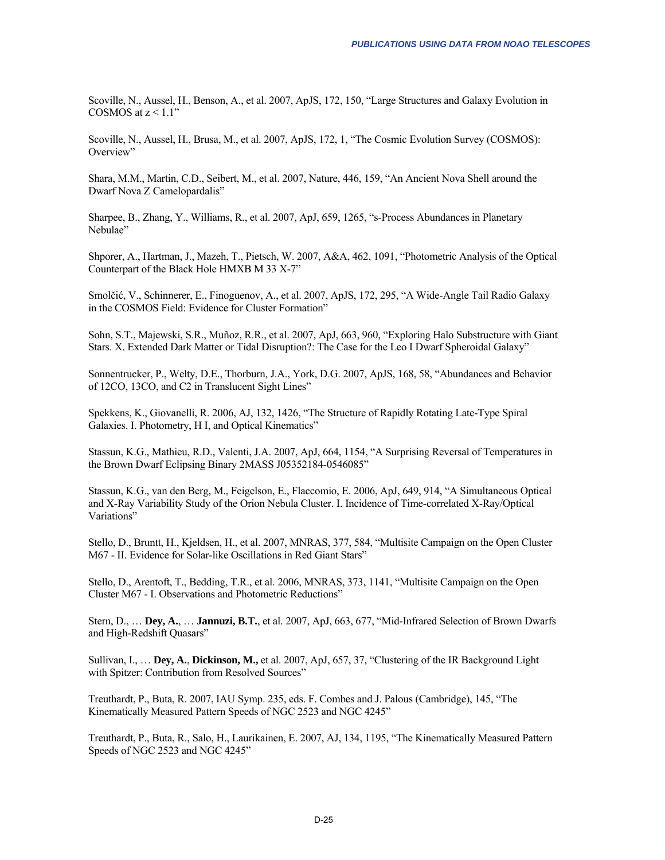Scoville, N., Aussel, H., Benson, A., et al. 2007, ApJS, 172, 150, "Large Structures and Galaxy Evolution in COSMOS at  $z < 1.1$ "

Scoville, N., Aussel, H., Brusa, M., et al. 2007, ApJS, 172, 1, "The Cosmic Evolution Survey (COSMOS): Overview"

Shara, M.M., Martin, C.D., Seibert, M., et al. 2007, Nature, 446, 159, "An Ancient Nova Shell around the Dwarf Nova Z Camelopardalis"

Sharpee, B., Zhang, Y., Williams, R., et al. 2007, ApJ, 659, 1265, "s-Process Abundances in Planetary Nebulae"

Shporer, A., Hartman, J., Mazeh, T., Pietsch, W. 2007, A&A, 462, 1091, "Photometric Analysis of the Optical Counterpart of the Black Hole HMXB M 33 X-7"

Smolčić, V., Schinnerer, E., Finoguenov, A., et al. 2007, ApJS, 172, 295, "A Wide-Angle Tail Radio Galaxy in the COSMOS Field: Evidence for Cluster Formation"

Sohn, S.T., Majewski, S.R., Muñoz, R.R., et al. 2007, ApJ, 663, 960, "Exploring Halo Substructure with Giant Stars. X. Extended Dark Matter or Tidal Disruption?: The Case for the Leo I Dwarf Spheroidal Galaxy"

Sonnentrucker, P., Welty, D.E., Thorburn, J.A., York, D.G. 2007, ApJS, 168, 58, "Abundances and Behavior of 12CO, 13CO, and C2 in Translucent Sight Lines"

Spekkens, K., Giovanelli, R. 2006, AJ, 132, 1426, "The Structure of Rapidly Rotating Late-Type Spiral Galaxies. I. Photometry, H I, and Optical Kinematics"

Stassun, K.G., Mathieu, R.D., Valenti, J.A. 2007, ApJ, 664, 1154, "A Surprising Reversal of Temperatures in the Brown Dwarf Eclipsing Binary 2MASS J05352184-0546085"

Stassun, K.G., van den Berg, M., Feigelson, E., Flaccomio, E. 2006, ApJ, 649, 914, "A Simultaneous Optical and X-Ray Variability Study of the Orion Nebula Cluster. I. Incidence of Time-correlated X-Ray/Optical Variations"

Stello, D., Bruntt, H., Kjeldsen, H., et al. 2007, MNRAS, 377, 584, "Multisite Campaign on the Open Cluster M67 - II. Evidence for Solar-like Oscillations in Red Giant Stars"

Stello, D., Arentoft, T., Bedding, T.R., et al. 2006, MNRAS, 373, 1141, "Multisite Campaign on the Open Cluster M67 - I. Observations and Photometric Reductions"

Stern, D., … **Dey, A.**, … **Jannuzi, B.T.**, et al. 2007, ApJ, 663, 677, "Mid-Infrared Selection of Brown Dwarfs and High-Redshift Quasars"

Sullivan, I., … **Dey, A.**, **Dickinson, M.,** et al. 2007, ApJ, 657, 37, "Clustering of the IR Background Light with Spitzer: Contribution from Resolved Sources"

Treuthardt, P., Buta, R. 2007, IAU Symp. 235, eds. F. Combes and J. Palous (Cambridge), 145, "The Kinematically Measured Pattern Speeds of NGC 2523 and NGC 4245"

Treuthardt, P., Buta, R., Salo, H., Laurikainen, E. 2007, AJ, 134, 1195, "The Kinematically Measured Pattern Speeds of NGC 2523 and NGC 4245"